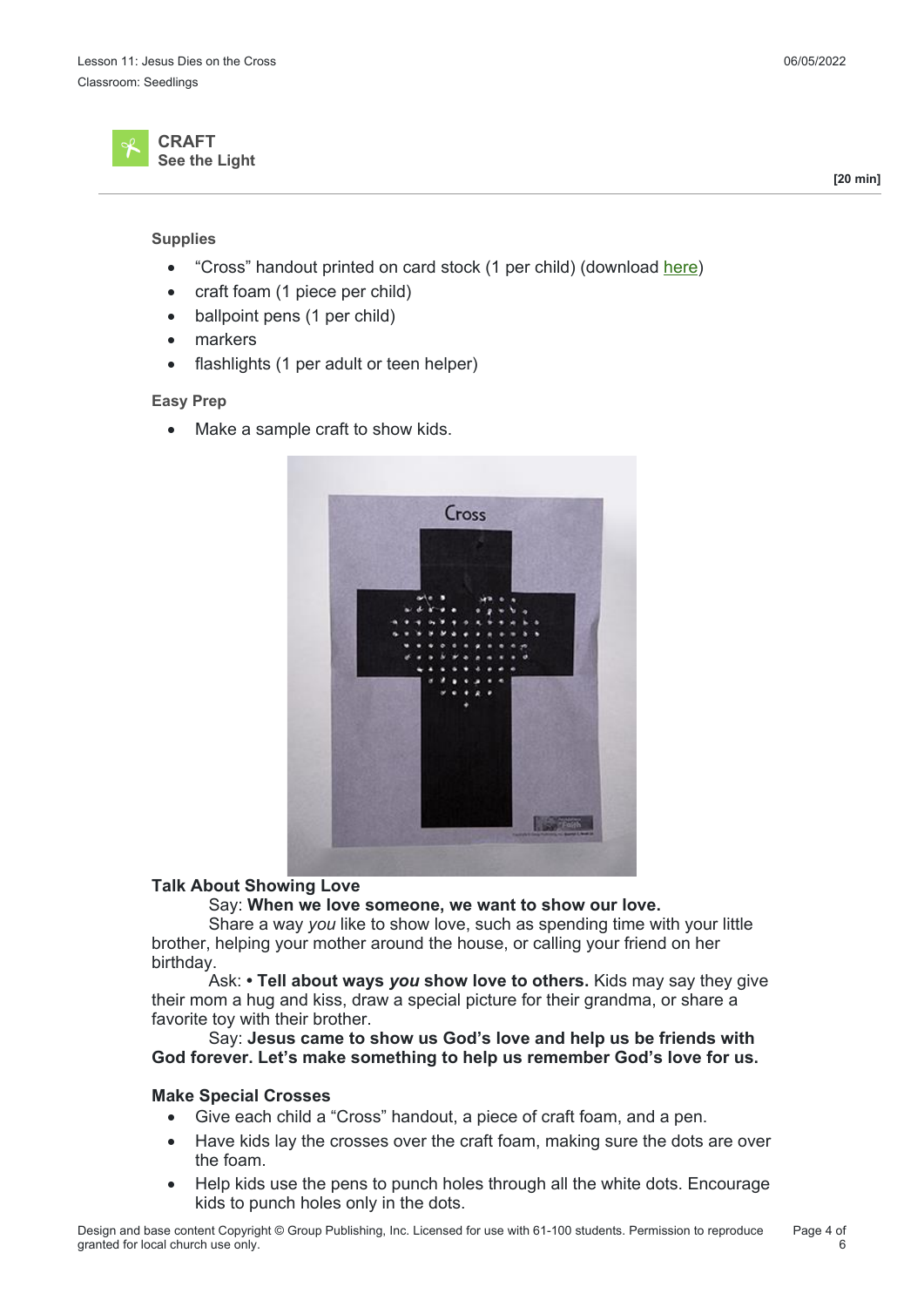

#### **Supplies**

- "Cross" handout printed on card stock (1 per child) (download here)
- craft foam (1 piece per child)
- ballpoint pens (1 per child)
- markers
- flashlights (1 per adult or teen helper)

### **Easy Prep**

• Make a sample craft to show kids.



# **Talk About Showing Love**

Say: **When we love someone, we want to show our love.**

 Share a way *you* like to show love, such as spending time with your little brother, helping your mother around the house, or calling your friend on her birthday.

 Ask: **• Tell about ways** *you* **show love to others.** Kids may say they give their mom a hug and kiss, draw a special picture for their grandma, or share a favorite toy with their brother.

 Say: **Jesus came to show us God's love and help us be friends with God forever. Let's make something to help us remember God's love for us.**

#### **Make Special Crosses**

- Give each child a "Cross" handout, a piece of craft foam, and a pen.
- Have kids lay the crosses over the craft foam, making sure the dots are over the foam.
- Help kids use the pens to punch holes through all the white dots. Encourage kids to punch holes only in the dots.